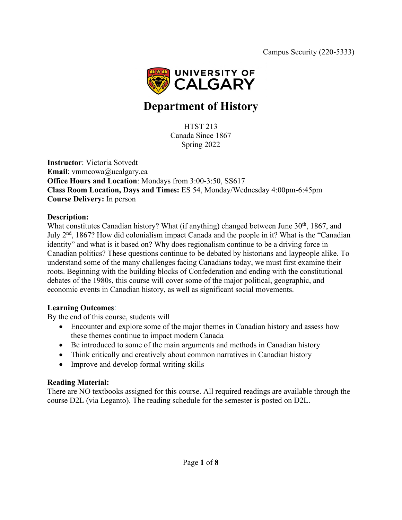

# **Department of History**

HTST 213 Canada Since 1867 Spring 2022

**Instructor**: Victoria Sotvedt **Email**: vmmcowa@ucalgary.ca **Office Hours and Location**: Mondays from 3:00-3:50, SS617 **Class Room Location, Days and Times:** ES 54, Monday/Wednesday 4:00pm-6:45pm **Course Delivery:** In person

#### **Description:**

What constitutes Canadian history? What (if anything) changed between June  $30<sup>th</sup>$ , 1867, and July 2nd, 1867? How did colonialism impact Canada and the people in it? What is the "Canadian identity" and what is it based on? Why does regionalism continue to be a driving force in Canadian politics? These questions continue to be debated by historians and laypeople alike. To understand some of the many challenges facing Canadians today, we must first examine their roots. Beginning with the building blocks of Confederation and ending with the constitutional debates of the 1980s, this course will cover some of the major political, geographic, and economic events in Canadian history, as well as significant social movements.

### **Learning Outcomes**:

By the end of this course, students will

- Encounter and explore some of the major themes in Canadian history and assess how these themes continue to impact modern Canada
- Be introduced to some of the main arguments and methods in Canadian history
- Think critically and creatively about common narratives in Canadian history
- Improve and develop formal writing skills

### **Reading Material:**

There are NO textbooks assigned for this course. All required readings are available through the course D2L (via Leganto). The reading schedule for the semester is posted on D2L.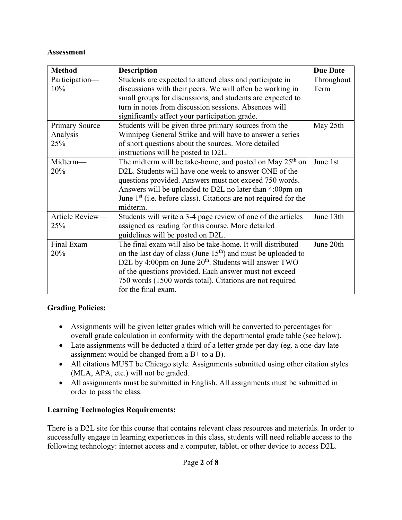### **Assessment**

| <b>Method</b>         | <b>Description</b>                                                             | <b>Due Date</b> |
|-----------------------|--------------------------------------------------------------------------------|-----------------|
| Participation-        | Students are expected to attend class and participate in                       | Throughout      |
| 10%                   | discussions with their peers. We will often be working in                      | Term            |
|                       | small groups for discussions, and students are expected to                     |                 |
|                       | turn in notes from discussion sessions. Absences will                          |                 |
|                       | significantly affect your participation grade.                                 |                 |
| <b>Primary Source</b> | Students will be given three primary sources from the<br>May 25th              |                 |
| Analysis-             | Winnipeg General Strike and will have to answer a series                       |                 |
| 25%                   | of short questions about the sources. More detailed                            |                 |
|                       | instructions will be posted to D2L.                                            |                 |
| Midterm-              | The midterm will be take-home, and posted on May $25th$ on                     | June 1st        |
| 20%                   | D2L. Students will have one week to answer ONE of the                          |                 |
|                       | questions provided. Answers must not exceed 750 words.                         |                 |
|                       | Answers will be uploaded to D2L no later than 4:00pm on                        |                 |
|                       | June $1st$ (i.e. before class). Citations are not required for the<br>midterm. |                 |
| Article Review-       | Students will write a 3-4 page review of one of the articles                   | June 13th       |
| 25%                   | assigned as reading for this course. More detailed                             |                 |
|                       | guidelines will be posted on D2L.                                              |                 |
| Final Exam-           | The final exam will also be take-home. It will distributed                     | June 20th       |
| 20%                   | on the last day of class (June $15th$ ) and must be uploaded to                |                 |
|                       | D2L by 4:00pm on June 20 <sup>th</sup> . Students will answer TWO              |                 |
|                       | of the questions provided. Each answer must not exceed                         |                 |
|                       | 750 words (1500 words total). Citations are not required                       |                 |
|                       | for the final exam.                                                            |                 |

### **Grading Policies:**

- Assignments will be given letter grades which will be converted to percentages for overall grade calculation in conformity with the departmental grade table (see below).
- Late assignments will be deducted a third of a letter grade per day (eg. a one-day late assignment would be changed from a  $B<sup>+</sup>$  to a B).
- All citations MUST be Chicago style. Assignments submitted using other citation styles (MLA, APA, etc.) will not be graded.
- All assignments must be submitted in English. All assignments must be submitted in order to pass the class.

# **Learning Technologies Requirements:**

There is a D2L site for this course that contains relevant class resources and materials. In order to successfully engage in learning experiences in this class, students will need reliable access to the following technology: internet access and a computer, tablet, or other device to access D2L.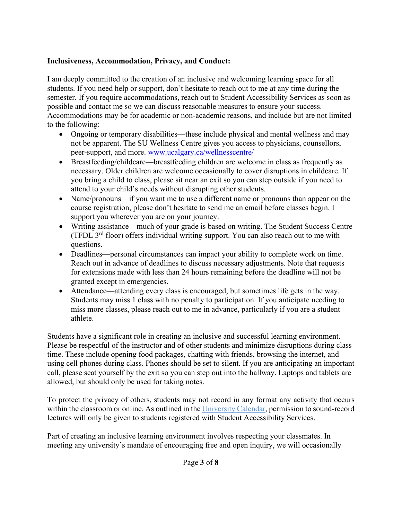### **Inclusiveness, Accommodation, Privacy, and Conduct:**

I am deeply committed to the creation of an inclusive and welcoming learning space for all students. If you need help or support, don't hesitate to reach out to me at any time during the semester. If you require accommodations, reach out to Student Accessibility Services as soon as possible and contact me so we can discuss reasonable measures to ensure your success. Accommodations may be for academic or non-academic reasons, and include but are not limited to the following:

- Ongoing or temporary disabilities—these include physical and mental wellness and may not be apparent. The SU Wellness Centre gives you access to physicians, counsellors, peer-support, and more. [www.ucalgary.ca/wellnesscentre/](http://www.ucalgary.ca/wellnesscentre/)
- Breastfeeding/childcare—breastfeeding children are welcome in class as frequently as necessary. Older children are welcome occasionally to cover disruptions in childcare. If you bring a child to class, please sit near an exit so you can step outside if you need to attend to your child's needs without disrupting other students.
- Name/pronouns—if you want me to use a different name or pronouns than appear on the course registration, please don't hesitate to send me an email before classes begin. I support you wherever you are on your journey.
- Writing assistance—much of your grade is based on writing. The Student Success Centre (TFDL  $3<sup>rd</sup>$  floor) offers individual writing support. You can also reach out to me with questions.
- Deadlines—personal circumstances can impact your ability to complete work on time. Reach out in advance of deadlines to discuss necessary adjustments. Note that requests for extensions made with less than 24 hours remaining before the deadline will not be granted except in emergencies.
- Attendance—attending every class is encouraged, but sometimes life gets in the way. Students may miss 1 class with no penalty to participation. If you anticipate needing to miss more classes, please reach out to me in advance, particularly if you are a student athlete.

Students have a significant role in creating an inclusive and successful learning environment. Please be respectful of the instructor and of other students and minimize disruptions during class time. These include opening food packages, chatting with friends, browsing the internet, and using cell phones during class. Phones should be set to silent. If you are anticipating an important call, please seat yourself by the exit so you can step out into the hallway. Laptops and tablets are allowed, but should only be used for taking notes.

To protect the privacy of others, students may not record in any format any activity that occurs within the classroom or online. As outlined in the [University Calendar,](https://www.ucalgary.ca/pubs/calendar/current/e-6.html) permission to sound-record lectures will only be given to students registered with Student Accessibility Services.

Part of creating an inclusive learning environment involves respecting your classmates. In meeting any university's mandate of encouraging free and open inquiry, we will occasionally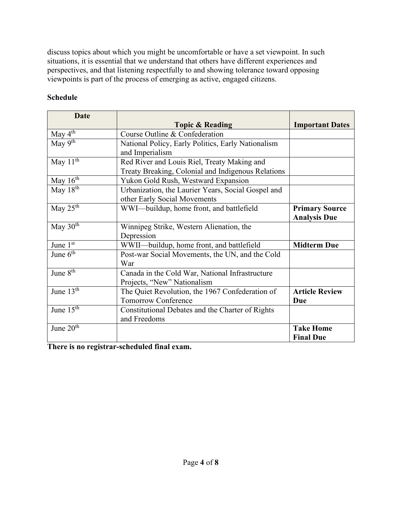discuss topics about which you might be uncomfortable or have a set viewpoint. In such situations, it is essential that we understand that others have different experiences and perspectives, and that listening respectfully to and showing tolerance toward opposing viewpoints is part of the process of emerging as active, engaged citizens.

# **Schedule**

| <b>Date</b>           |                                                                       |                        |  |
|-----------------------|-----------------------------------------------------------------------|------------------------|--|
|                       | <b>Topic &amp; Reading</b>                                            | <b>Important Dates</b> |  |
| May $4^{\text{th}}$   | Course Outline & Confederation                                        |                        |  |
| May 9th               | National Policy, Early Politics, Early Nationalism<br>and Imperialism |                        |  |
| May $11th$            | Red River and Louis Riel, Treaty Making and                           |                        |  |
|                       | Treaty Breaking, Colonial and Indigenous Relations                    |                        |  |
| May 16 <sup>th</sup>  | Yukon Gold Rush, Westward Expansion                                   |                        |  |
| May $18th$            | Urbanization, the Laurier Years, Social Gospel and                    |                        |  |
|                       | other Early Social Movements                                          |                        |  |
| May $25th$            | WWI—buildup, home front, and battlefield                              | <b>Primary Source</b>  |  |
|                       |                                                                       | <b>Analysis Due</b>    |  |
| May $30th$            | Winnipeg Strike, Western Alienation, the                              |                        |  |
|                       | Depression                                                            |                        |  |
| June 1st              | WWII—buildup, home front, and battlefield                             | <b>Midterm Due</b>     |  |
| June $6th$            | Post-war Social Movements, the UN, and the Cold                       |                        |  |
|                       | War                                                                   |                        |  |
| June 8 <sup>th</sup>  | Canada in the Cold War, National Infrastructure                       |                        |  |
|                       | Projects, "New" Nationalism                                           |                        |  |
| June $13th$           | The Quiet Revolution, the 1967 Confederation of                       | <b>Article Review</b>  |  |
|                       | <b>Tomorrow Conference</b>                                            | Due                    |  |
| June 15 <sup>th</sup> | Constitutional Debates and the Charter of Rights                      |                        |  |
|                       | and Freedoms                                                          |                        |  |
| June 20 <sup>th</sup> |                                                                       | <b>Take Home</b>       |  |
|                       |                                                                       | <b>Final Due</b>       |  |

**There is no registrar-scheduled final exam.**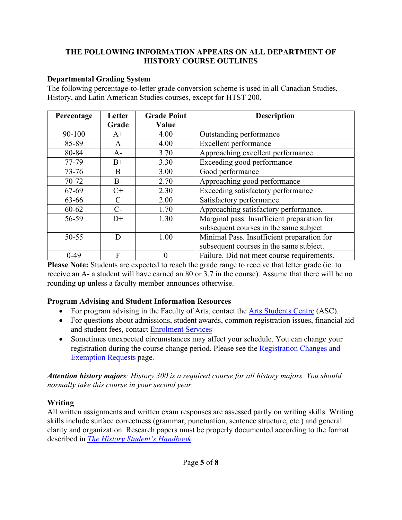### **THE FOLLOWING INFORMATION APPEARS ON ALL DEPARTMENT OF HISTORY COURSE OUTLINES**

### **Departmental Grading System**

The following percentage-to-letter grade conversion scheme is used in all Canadian Studies, History, and Latin American Studies courses, except for HTST 200.

| Percentage | Letter        | <b>Grade Point</b> | <b>Description</b>                          |
|------------|---------------|--------------------|---------------------------------------------|
|            | Grade         | Value              |                                             |
| 90-100     | $A+$          | 4.00               | Outstanding performance                     |
| 85-89      | $\mathsf{A}$  | 4.00               | Excellent performance                       |
| 80-84      | $A-$          | 3.70               | Approaching excellent performance           |
| 77-79      | $B+$          | 3.30               | Exceeding good performance                  |
| $73 - 76$  | B             | 3.00               | Good performance                            |
| 70-72      | $B -$         | 2.70               | Approaching good performance                |
| 67-69      | $C+$          | 2.30               | Exceeding satisfactory performance          |
| 63-66      | $\mathcal{C}$ | 2.00               | Satisfactory performance                    |
| 60-62      | $C-$          | 1.70               | Approaching satisfactory performance.       |
| 56-59      | $D+$          | 1.30               | Marginal pass. Insufficient preparation for |
|            |               |                    | subsequent courses in the same subject      |
| $50 - 55$  | D             | 1.00               | Minimal Pass. Insufficient preparation for  |
|            |               |                    | subsequent courses in the same subject.     |
| $0-49$     | F             |                    | Failure. Did not meet course requirements.  |

**Please Note:** Students are expected to reach the grade range to receive that letter grade (ie. to receive an A- a student will have earned an 80 or 3.7 in the course). Assume that there will be no rounding up unless a faculty member announces otherwise.

### **Program Advising and Student Information Resources**

- For program advising in the Faculty of Arts, contact the [Arts Students Centre](https://arts.ucalgary.ca/current-students/undergraduate/academic-advising) (ASC).
- For questions about admissions, student awards, common registration issues, financial aid and student fees, contact [Enrolment Services](https://www.ucalgary.ca/registrar/contact-us/enrolment-services-advising)
- Sometimes unexpected circumstances may affect your schedule. You can change your registration during the course change period. Please see the [Registration Changes and](https://www.ucalgary.ca/registrar/registration/appeals)  [Exemption Requests](https://www.ucalgary.ca/registrar/registration/appeals) page.

*Attention history majors: History 300 is a required course for all history majors. You should normally take this course in your second year.*

# **Writing**

All written assignments and written exam responses are assessed partly on writing skills. Writing skills include surface correctness (grammar, punctuation, sentence structure, etc.) and general clarity and organization. Research papers must be properly documented according to the format described in *[The History Student's Handbook](https://arts.ucalgary.ca/history/current-students/undergraduate/student-handbook)*.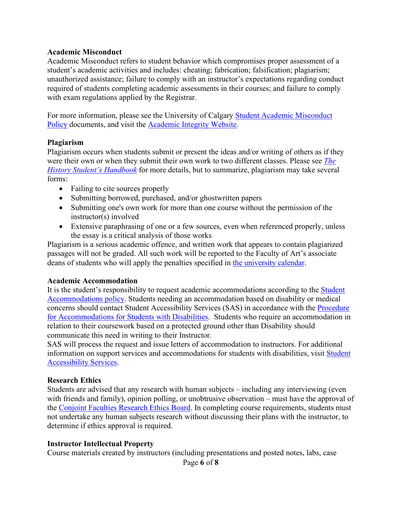#### **Academic Misconduct**

Academic Misconduct refers to student behavior which compromises proper assessment of a student's academic activities and includes: cheating; fabrication; falsification; plagiarism; unauthorized assistance; failure to comply with an instructor's expectations regarding conduct required of students completing academic assessments in their courses; and failure to comply with exam regulations applied by the Registrar.

For more information, please see the University of Calgary [Student Academic Misconduct](https://www.ucalgary.ca/legal-services/university-policies-procedures/student-academic-misconduct-policy)  [Policy](https://www.ucalgary.ca/legal-services/university-policies-procedures/student-academic-misconduct-policy) documents, and visit the [Academic Integrity Website.](https://ucalgary.ca/student-services/student-success/learning/academic-integrity)

#### **Plagiarism**

Plagiarism occurs when students submit or present the ideas and/or writing of others as if they were their own or when they submit their own work to two different classes. Please see *[The](https://arts.ucalgary.ca/history/current-students/undergraduate/student-handbook)  [History Student's Handbook](https://arts.ucalgary.ca/history/current-students/undergraduate/student-handbook)* for more details, but to summarize, plagiarism may take several forms:

- Failing to cite sources properly
- Submitting borrowed, purchased, and/or ghostwritten papers
- Submitting one's own work for more than one course without the permission of the instructor(s) involved
- Extensive paraphrasing of one or a few sources, even when referenced properly, unless the essay is a critical analysis of those works

Plagiarism is a serious academic offence, and written work that appears to contain plagiarized passages will not be graded. All such work will be reported to the Faculty of Art's associate deans of students who will apply the penalties specified in [the university calendar.](https://www.ucalgary.ca/pubs/calendar/current/k.html)

#### **Academic Accommodation**

It is the student's responsibility to request academic accommodations according to the [Student](https://www.ucalgary.ca/legal-services/university-policies-procedures/student-accommodation-policy)  [Accommodations policy.](https://www.ucalgary.ca/legal-services/university-policies-procedures/student-accommodation-policy) Students needing an accommodation based on disability or medical concerns should contact Student Accessibility Services (SAS) in accordance with the [Procedure](https://www.ucalgary.ca/legal-services/university-policies-procedures/accommodation-students-disabilities-procedure)  [for Accommodations for Students with Disabilities.](https://www.ucalgary.ca/legal-services/university-policies-procedures/accommodation-students-disabilities-procedure) Students who require an accommodation in relation to their coursework based on a protected ground other than Disability should communicate this need in writing to their Instructor.

SAS will process the request and issue letters of accommodation to instructors. For additional information on support services and accommodations for students with disabilities, visit [Student](http://www.ucalgary.ca/access/) [Accessibility Services.](http://www.ucalgary.ca/access/)

#### **Research Ethics**

Students are advised that any research with human subjects – including any interviewing (even with friends and family), opinion polling, or unobtrusive observation – must have the approval of the [Conjoint Faculties Research Ethics Board.](https://research.ucalgary.ca/conduct-research/ethics-compliance/human-research-ethics/conjoint-faculties-research-ethics-board) In completing course requirements, students must not undertake any human subjects research without discussing their plans with the instructor, to determine if ethics approval is required.

#### **Instructor Intellectual Property**

Course materials created by instructors (including presentations and posted notes, labs, case

Page **6** of **8**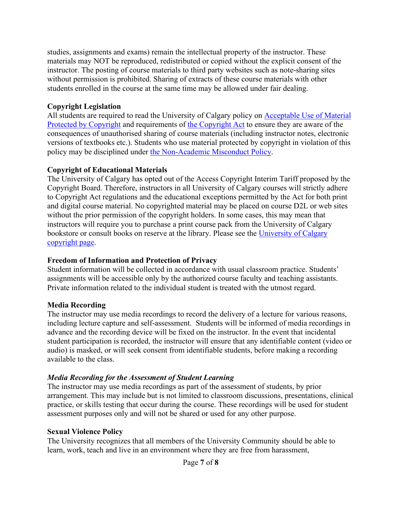studies, assignments and exams) remain the intellectual property of the instructor. These materials may NOT be reproduced, redistributed or copied without the explicit consent of the instructor. The posting of course materials to third party websites such as note-sharing sites without permission is prohibited. Sharing of extracts of these course materials with other students enrolled in the course at the same time may be allowed under fair dealing.

### **Copyright Legislation**

All students are required to read the University of Calgary policy on Acceptable Use of Material [Protected by Copyright](https://www.ucalgary.ca/legal-services/university-policies-procedures/acceptable-use-material-protected-copyright-policy) and requirements of [the Copyright Act](https://laws-lois.justice.gc.ca/eng/acts/C-42/index.html) to ensure they are aware of the consequences of unauthorised sharing of course materials (including instructor notes, electronic versions of textbooks etc.). Students who use material protected by copyright in violation of this policy may be disciplined under [the Non-Academic Misconduct Policy.](https://www.ucalgary.ca/pubs/calendar/current/k.html)

# **Copyright of Educational Materials**

The University of Calgary has opted out of the Access Copyright Interim Tariff proposed by the Copyright Board. Therefore, instructors in all University of Calgary courses will strictly adhere to Copyright Act regulations and the educational exceptions permitted by the Act for both print and digital course material. No copyrighted material may be placed on course D2L or web sites without the prior permission of the copyright holders. In some cases, this may mean that instructors will require you to purchase a print course pack from the University of Calgary bookstore or consult books on reserve at the library. Please see the [University of Calgary](http://library.ucalgary.ca/copyright)  [copyright page.](http://library.ucalgary.ca/copyright)

# **Freedom of Information and Protection of Privacy**

Student information will be collected in accordance with usual classroom practice. Students' assignments will be accessible only by the authorized course faculty and teaching assistants. Private information related to the individual student is treated with the utmost regard.

# **Media Recording**

The instructor may use media recordings to record the delivery of a lecture for various reasons, including lecture capture and self-assessment. Students will be informed of media recordings in advance and the recording device will be fixed on the instructor. In the event that incidental student participation is recorded, the instructor will ensure that any identifiable content (video or audio) is masked, or will seek consent from identifiable students, before making a recording available to the class.

# *Media Recording for the Assessment of Student Learning*

The instructor may use media recordings as part of the assessment of students, by prior arrangement. This may include but is not limited to classroom discussions, presentations, clinical practice, or skills testing that occur during the course. These recordings will be used for student assessment purposes only and will not be shared or used for any other purpose.

# **Sexual Violence Policy**

The University recognizes that all members of the University Community should be able to learn, work, teach and live in an environment where they are free from harassment,